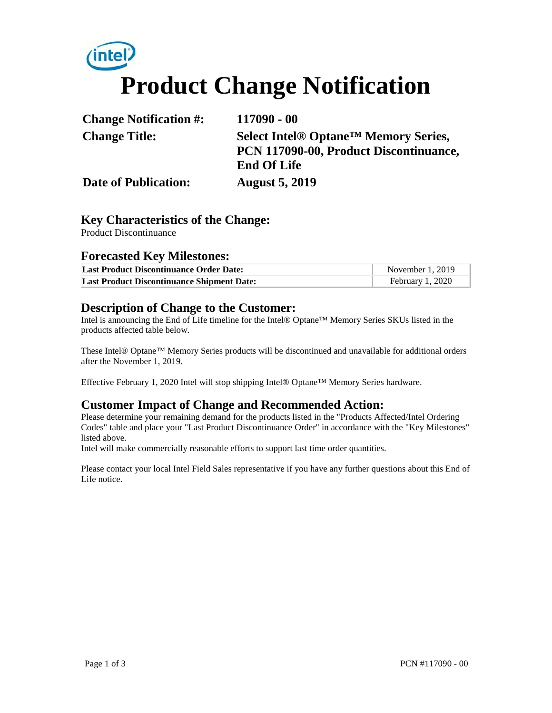# **Product Change Notification**

| <b>Change Notification #:</b> | $117090 - 00$                                                |
|-------------------------------|--------------------------------------------------------------|
| <b>Change Title:</b>          | Select Intel <sup>®</sup> Optane <sup>™</sup> Memory Series, |
|                               | PCN 117090-00, Product Discontinuance,                       |
|                               | <b>End Of Life</b>                                           |
| <b>Date of Publication:</b>   | <b>August 5, 2019</b>                                        |

#### **Key Characteristics of the Change:**

Product Discontinuance

#### **Forecasted Key Milestones:**

| <b>Last Product Discontinuance Order Date:</b>    | November $1, 2019$ |
|---------------------------------------------------|--------------------|
| <b>Last Product Discontinuance Shipment Date:</b> | February 1, 2020   |

#### **Description of Change to the Customer:**

Intel is announcing the End of Life timeline for the Intel® Optane™ Memory Series SKUs listed in the products affected table below.

These Intel® Optane™ Memory Series products will be discontinued and unavailable for additional orders after the November 1, 2019.

Effective February 1, 2020 Intel will stop shipping Intel® Optane™ Memory Series hardware.

#### **Customer Impact of Change and Recommended Action:**

Please determine your remaining demand for the products listed in the "Products Affected/Intel Ordering Codes" table and place your "Last Product Discontinuance Order" in accordance with the "Key Milestones" listed above.

Intel will make commercially reasonable efforts to support last time order quantities.

Please contact your local Intel Field Sales representative if you have any further questions about this End of Life notice.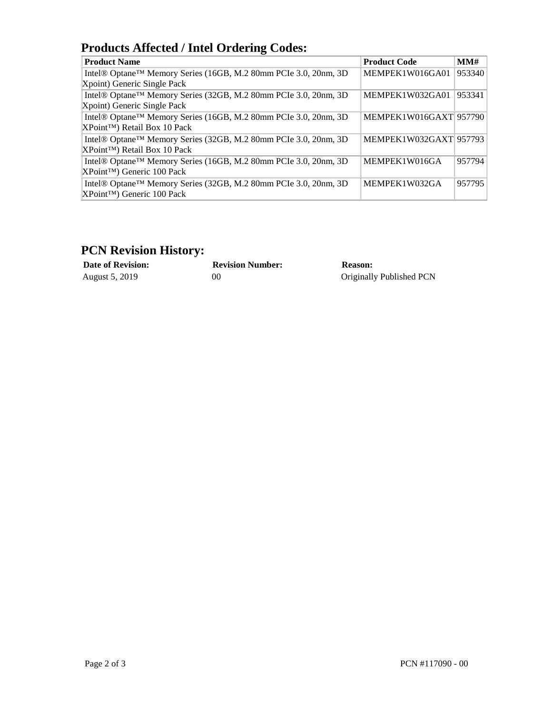## **Products Affected / Intel Ordering Codes:**

| <b>Product Name</b>                                             | <b>Product Code</b>    | MMH    |
|-----------------------------------------------------------------|------------------------|--------|
| Intel® Optane™ Memory Series (16GB, M.2 80mm PCIe 3.0, 20nm, 3D | MEMPEK1W016GA01        | 953340 |
| Xpoint) Generic Single Pack                                     |                        |        |
| Intel® Optane™ Memory Series (32GB, M.2 80mm PCIe 3.0, 20nm, 3D | MEMPEK1W032GA01        | 953341 |
| Xpoint) Generic Single Pack                                     |                        |        |
| Intel® Optane™ Memory Series (16GB, M.2 80mm PCIe 3.0, 20nm, 3D | MEMPEK1W016GAXT 957790 |        |
| XPoint™) Retail Box 10 Pack                                     |                        |        |
| Intel® Optane™ Memory Series (32GB, M.2 80mm PCIe 3.0, 20nm, 3D | MEMPEK1W032GAXT 957793 |        |
| XPoint™) Retail Box 10 Pack                                     |                        |        |
| Intel® Optane™ Memory Series (16GB, M.2 80mm PCIe 3.0, 20nm, 3D | MEMPEK1W016GA          | 957794 |
| XPoint™) Generic 100 Pack                                       |                        |        |
| Intel® Optane™ Memory Series (32GB, M.2 80mm PCIe 3.0, 20nm, 3D | MEMPEK1W032GA          | 957795 |
| XPoint™) Generic 100 Pack                                       |                        |        |

### **PCN Revision History:**

| <b>Date of Revision:</b> | <b>Revision Number:</b> | <b>Reason:</b>           |
|--------------------------|-------------------------|--------------------------|
| August 5, 2019           | 90                      | Originally Published PCN |